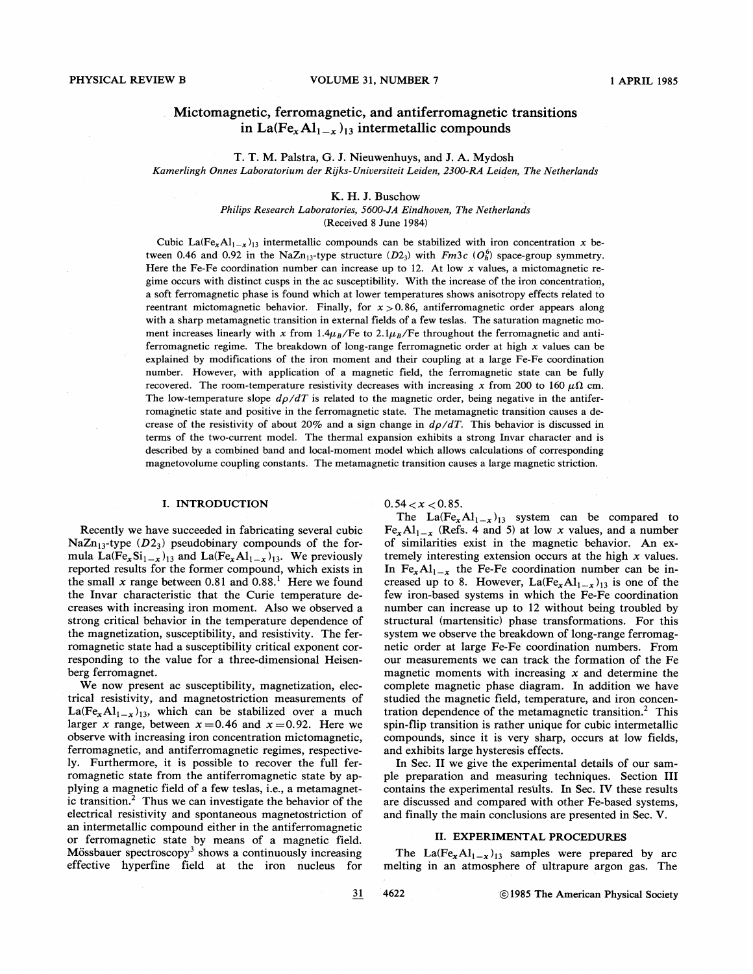# Mictomagnetic, ferromagnetic, and antiferromagnetic transitions in La(Fe<sub>x</sub>Al<sub>1-x</sub>)<sub>13</sub> intermetallic compounds

T. T. M. Palstra, G. J. Nieuwenhuys, and J. A. Mydosh Kamerlingh Onnes Laboratorium der Rijks- Uniuersiteit Leiden, 2300-RA Leiden, The Netherlands

## K. H. J. Buschow

Philips Research Laboratories, 5600-JA Eindhouen, The Netherlands (Received 8 June 1984)

Cubic La(Fe<sub>x</sub>Al<sub>1-x</sub>)<sub>13</sub> intermetallic compounds can be stabilized with iron concentration x between 0.46 and 0.92 in the NaZn<sub>13</sub>-type structure  $(D2<sub>3</sub>)$  with Fm3c  $(O<sub>b</sub><sup>6</sup>)$  space-group symmetry. Here the Fe-Fe coordination number can increase up to 12. At low  $x$  values, a mictomagnetic regime occurs with distinct cusps in the ac susceptibility. With the increase of the iron concentration, a soft ferromagnetic phase is found which at lower temperatures shows anisotropy effects related to reentrant mictomagnetic behavior. Finally, for  $x > 0.86$ , antiferromagnetic order appears along with a sharp metamagnetic transition in external fields of a few teslas. The saturation magnetic moment increases linearly with x from  $1.4\mu_B$ /Fe to  $2.1\mu_B$ /Fe throughout the ferromagnetic and antiferromagnetic regime. The breakdown of long-range ferromagnetic order at high  $x$  values can be explained by modifications of the iron moment and their coupling at a large Fe-Fe coordination number. However, with application of a magnetic field, the ferromagnetic state can be fully recovered. The room-temperature resistivity decreases with increasing x from 200 to 160  $\mu\Omega$  cm. The low-temperature slope  $d\rho/dT$  is related to the magnetic order, being negative in the antiferromagnetic state and positive in the ferromagnetic state. The metamagnetic transition causes a decrease of the resistivity of about 20% and a sign change in  $d\rho/dT$ . This behavior is discussed in terms of the two-current model. The thermal expansion exhibits a strong Invar character and is described by a combined band and local-moment model which allows calculations of corresponding magnetovolume coupling constants. The metamagnetic transition causes a large magnetic striction.

### I. INTRODUCTION

Recently we have succeeded in fabricating several cubic NaZn<sub>13</sub>-type ( $D2_3$ ) pseudobinary compounds of the formula La(Fe<sub>x</sub>Si<sub>1-x</sub>)<sub>13</sub> and La(Fe<sub>x</sub>Al<sub>1-x</sub>)<sub>13</sub>. We previously reported results for the former compound, which exists in the small x range between 0.81 and  $0.88<sup>1</sup>$  Here we found the Invar characteristic that the Curie temperature decreases with increasing iron moment. Also we observed a strong critical behavior in the temperature dependence of the magnetization, susceptibility, and resistivity. The ferromagnetic state had a susceptibility critical exponent corresponding to the value for a three-dimensional Heisenberg ferromagnet.

We now present ac susceptibility, magnetization, electrical resistivity, and magnetostriction measurements of  $La(Fe<sub>x</sub>Al<sub>1-x</sub>)<sub>13</sub>$ , which can be stabilized over a much larger x range, between  $x=0.46$  and  $x=0.92$ . Here we observe with increasing iron concentration mictomagnetic, ferromagnetic, and antiferromagnetic regimes, respectively. Furthermore, it is possible to recover the full ferromagnetic state from the antiferromagnetic state by applying a magnetic field of a few teslas, i.e., a metamagnetic transition.<sup>2</sup> Thus we can investigate the behavior of the electrical resistivity and spontaneous magnetostriction of an intermetallic compound either in the antiferromagnetic or ferromagnetic state by means of a magnetic field. Mössbauer spectroscopy<sup>3</sup> shows a continuously increasing effective hyperfine field at the iron nucleus for

 $0.54 < x < 0.85$ .

The  $La(Fe_xAl_{1-x})_{13}$  system can be compared to  $Fe_{x}Al_{1-x}$  (Refs. 4 and 5) at low x values, and a number of similarities exist in the magnetic behavior. An extremely interesting extension occurs at the high  $x$  values. In Fe<sub>x</sub>Al<sub>1-x</sub> the Fe-Fe coordination number can be increased up to 8. However,  $La(Fe_xAl_{1-x})_{13}$  is one of the few iron-based systems in which the Fe-Fe coordination number can increase up to 12 without being troubled by structural (martensitic) phase transformations. For this system we observe the breakdown of long-range ferromagnetic order at large Fe-Fe coordination numbers. From our measurements we can track the formation of the Fe magnetic moments with increasing  $x$  and determine the complete magnetic phase diagram. In addition we have studied the magnetic field, temperature, and iron concentration dependence of the metamagnetic transition.<sup>2</sup> This spin-flip transition is rather unique for cubic intermetallic compounds, since it is very sharp, occurs at low fields, and exhibits large hysteresis effects.

In Sec. II we give the experimental details of our sample preparation and measuring techniques. Section III contains the experimental results. In Sec. IV these results are discussed and compared with other Fe-based systems, and finally the main conclusions are presented in Sec. V.

### II. EXPERIMENTAL PROCEDURES

The La(Fe<sub>x</sub>Al<sub>1-x</sub>)<sub>13</sub> samples were prepared by arc melting in an atmosphere of ultrapure argon gas. The

31 4622 1985 The American Physical Society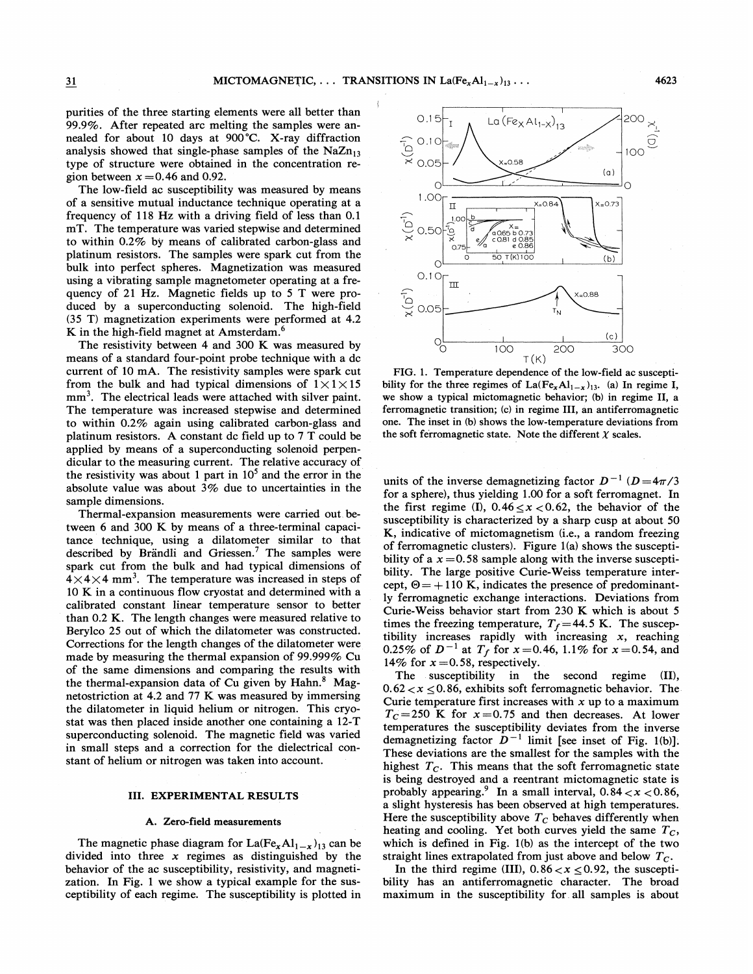purities of the three starting elements were all better than 99.9%. After repeated arc melting the samples were annealed for about 10 days at 900'C. X-ray diffraction analysis showed that single-phase samples of the  $NaZn_{13}$ type of structure were obtained in the concentration region between  $x = 0.46$  and 0.92.

The low-field ac susceptibility was measured by means of a sensitive mutual inductance technique operating at a frequency of 118 Hz with a driving field of less than 0.<sup>1</sup> mT. The temperature was varied stepwise and determined to within 0.2% by means of calibrated carbon-glass and platinum resistors. The samples were spark cut from the bulk into perfect spheres. Magnetization was measured using a vibrating sample magnetometer operating at a frequency of 21 Hz. Magnetic fields up to 5 T were produced by a superconducting solenoid. The high-field (35 T) magnetization experiments were performed at 4.2 K in the high-field magnet at Amsterdam. $<sup>6</sup>$ </sup>

The resistivity between 4 and 300 K was measured by means of a standard four-point probe technique with a dc current of 10 mA. The resistivity samples were spark cut from the bulk and had typical dimensions of  $1 \times 1 \times 15$  $mm<sup>3</sup>$ . The electrical leads were attached with silver paint. The temperature was increased stepwise and determined to within  $0.2\%$  again using calibrated carbon-glass and platinum resistors. A constant dc field up to 7 T could be applied by means of a superconducting solenoid perpendicular to the measuring current. The relative accuracy of the resistivity was about 1 part in  $10<sup>5</sup>$  and the error in the absolute value was about 3% due to uncertainties in the sample dimensions.

Thermal-expansion measurements were carried out. between 6 and 300 K by means of a three-terminal capacitance technique, using a dilatometer similar to that described by Brändli and Griessen.<sup>7</sup> The samples were spark cut from the bulk and had typical dimensions of  $4 \times 4 \times 4$  mm<sup>3</sup>. The temperature was increased in steps of 10 K in a continuous flow cryostat and determined with a calibrated constant linear temperature sensor to better than 0.2 K. The length changes were measured relative to Berylco 25 out of which the dilatometer was constructed. Corrections for the length changes of the dilatometer were made by measuring the thermal expansion of 99.999% Cu of the same dimensions and comparing the results with the thermal-expansion data of Cu given by Hahn. $8$  Magnetostriction at 4.2 and 77 K was measured by immersing the dilatometer in liquid helium or nitrogen. This cryostat was then placed inside another one containing a 12-T superconducting solenoid. The magnetic field was varied in small steps and a correction for the dielectrical constant of helium or nitrogen was taken into account.

### III. EXPERIMENTAL RESULTS

#### A. Zero-field measurements

The magnetic phase diagram for  $La(Fe_xAl_{1-x})_{13}$  can be divided into three  $x$  regimes as distinguished by the behavior of the ac susceptibility, resistivity, and magnetization. In Fig. <sup>1</sup> we show a typical example for the susceptibility of each regime. The susceptibility is plotted in



FIG. 1. Temperature dependence of the low-field ac susceptibility for the three regimes of  $La(Fe_xAl_{1-x})_{13}$ . (a) In regime I, we show a typical mictomagnetic behavior; (b) in regime II, a ferromagnetic transition; (c) in regime III, an antiferromagnetic one. The inset in (b) shows the low-temperature deviations from the soft ferromagnetic state. Note the different  $\chi$  scales.

units of the inverse demagnetizing factor  $D^{-1}$  ( $D=4\pi/3$ for a sphere), thus yielding 1.00 for a soft ferromagnet. In the first regime (I),  $0.46 \le x < 0.62$ , the behavior of the susceptibility is characterized by a sharp cusp at about 50 K, indicative of mictomagnetism (i.e., a random freezing of ferromagnetic clusters). Figure l(a) shows the susceptibility of a  $x = 0.58$  sample along with the inverse susceptibility. The large positive Curie-Weiss temperature intercept,  $\Theta = +110$  K, indicates the presence of predominantly ferromagnetic exchange interactions. Deviations from Curie-Weiss behavior start from 230 K which is about 5 times the freezing temperature,  $T_f$  = 44.5 K. The susceptibility increases rapidly with increasing  $x$ , reaching 0.25% of  $D^{-1}$  at  $T_f$  for  $x = 0.46$ , 1.1% for  $x = 0.54$ , and 14% for  $x = 0.58$ , respectively.

The susceptibility in the second regime (II),  $0.62 < x < 0.86$ , exhibits soft ferromagnetic behavior. The Curie temperature first increases with  $x$  up to a maximum  $T_c$  = 250 K for  $x$  = 0.75 and then decreases. At lower temperatures the susceptibility deviates from the inverse demagnetizing factor  $\bar{D}^{-1}$  limit [see inset of Fig. 1(b)]. These deviations are the smallest for the samples with the highest  $T_c$ . This means that the soft ferromagnetic state is being destroyed and a reentrant mictomagnetic state is probably appearing.<sup>9</sup> In a small interval,  $0.84 < x < 0.86$ , a slight hysteresis has been observed at high temperatures. Here the susceptibility above  $T_c$  behaves differently when heating and cooling. Yet both curves yield the same  $T_c$ , which is defined in Fig. 1(b) as the intercept of the two straight lines extrapolated from just above and below  $T_c$ .

In the third regime (III),  $0.86 < x \le 0.92$ , the susceptibility has an antiferromagnetic character. The broad maximum in the susceptibility for. all samples is about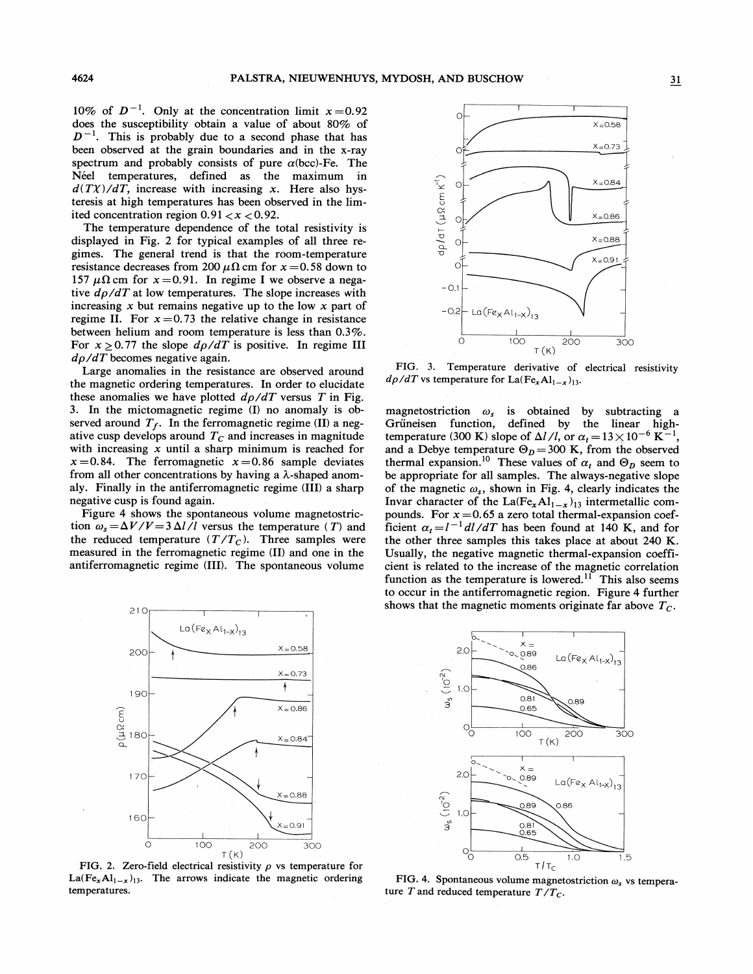10% of  $D^{-1}$ . Only at the concentration limit  $x=0.92$ does the susceptibility obtain a value of about 80% of  $D^{-1}$ . This is probably due to a second phase that has been observed at the grain boundaries and in the x-ray spectrum and probably consists of pure  $\alpha$ (bcc)-Fe. The Néel temperatures, defined as the maximum in  $d(T\chi)/dT$ , increase with increasing x. Here also hysteresis at high temperatures has been observed in the limited concentration region  $0.91 < x < 0.92$ .

The temperature dependence of the total resistivity is displayed in Fig. 2 for typical examples of all three regimes. The general trend is that the room-temperature resistance decreases from 200  $\mu\Omega$  cm for  $x = 0.58$  down to 157  $\mu\Omega$  cm for  $x = 0.91$ . In regime I we observe a negative  $d\rho/dT$  at low temperatures. The slope increases with increasing  $x$  but remains negative up to the low  $x$  part of regime II. For  $x = 0.73$  the relative change in resistance between helium and room temperature is less than 0.3%. For  $x \ge 0.77$  the slope  $d\rho/dT$  is positive. In regime III  $d\rho/dT$  becomes negative again.

Large anomalies in the resistance are observed around the magnetic ordering temperatures. In order to elucidate these anomalies we have plotted  $d\rho/dT$  versus T in Fig. 3. In the mictomagnetic regime (I) no anomaly is observed around  $T_f$ . In the ferromagnetic regime (II) a negative cusp develops around  $T<sub>C</sub>$  and increases in magnitude with increasing  $x$  until a sharp minimum is reached for  $x=0.84$ . The ferromagnetic  $x=0.86$  sample deviates from all other concentrations by having a  $\lambda$ -shaped anomaly. Finally in the antiferromagnetic regime (III) a sharp negative cusp is found again.

Figure 4 shows the spontaneous volume magnetostriction  $\omega_s = \Delta V/V = 3 \Delta l/l$  versus the temperature (T) and the reduced temperature  $(T/T_C)$ . Three samples were measured in the ferromagnetic regime (II) and one in the antiferromagnetic regime (III). The spontaneous volume



FIG. 2. Zero-field electrical resistivity  $\rho$  vs temperature for La(Fe<sub>x</sub>Al<sub>1-x</sub>)<sub>13</sub>. The arrows indicate the magnetic ordering temperatures.



FIG. 3. Temperature derivative of electrical resistivity  $d\rho/dT$  vs temperature for La(Fe<sub>x</sub>Al<sub>1-x</sub>)<sub>13</sub>.

magnetostriction  $\omega_s$  is obtained by subtracting a Griineisen function, defined by the linear hightemperature (300 K) slope of  $\Delta l/l$ , or  $\alpha_t = 13 \times 10^{-6} \text{ K}^{-1}$ , and a Debye temperature  $\Theta_D = 300 \text{ K}$ , from the observed thermal expansion.<sup>10</sup> These values of  $\alpha_t$  and  $\Theta_D$  seem to be appropriate for all samples. The always-negative slope of the magnetic  $\omega_s$ , shown in Fig. 4, clearly indicates the Invar character of the La(Fe<sub>x</sub>Al<sub>1-x</sub>)<sub>13</sub> intermetallic compounds. For  $x = 0.65$  a zero total thermal-expansion coefficient  $\alpha_t = l^{-1} dl/dT$  has been found at 140 K, and for the other three samples this takes place at about 240 K. Usually, the negative magnetic thermal-expansion coefficient is related to the increase of the magnetic correlation<br>function as the temperature is lowered.<sup>11</sup> This also seems function as the temperature is lowered.<sup>11</sup> This also seems to occur in the antiferromagnetic region. Figure 4 further shows that the magnetic moments originate far above  $T_c$ .



FIG. 4. Spontaneous volume magnetostriction  $\omega_s$  vs temperature  $T$  and reduced temperature  $T/T_C$ .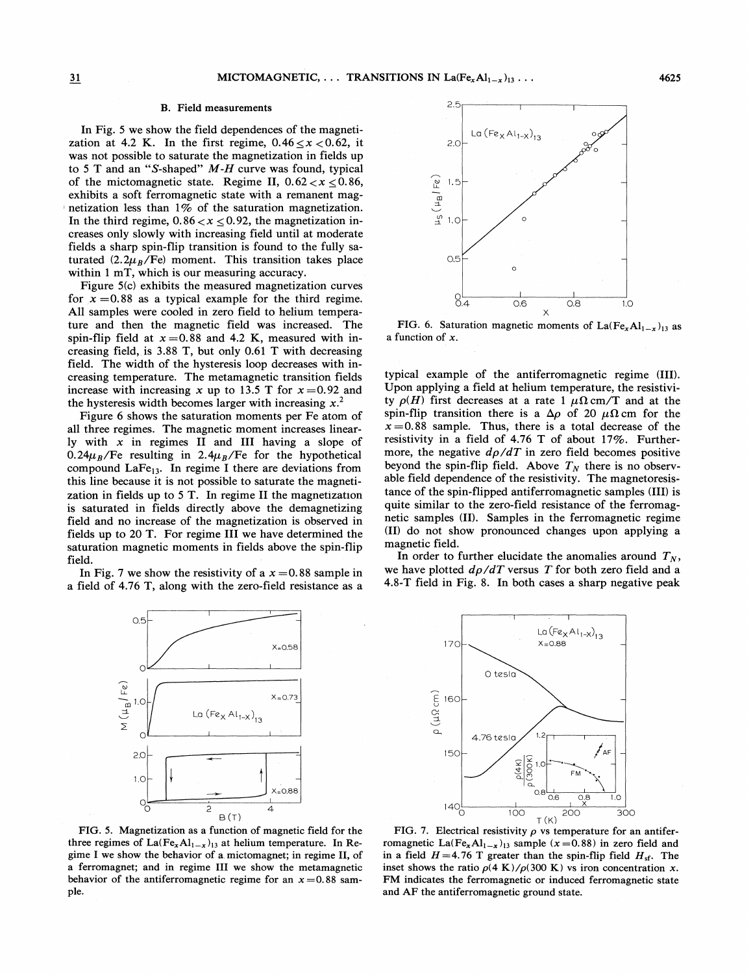# B. Field measurements 2.5

In Fig. 5 we show the field dependences of the magnetization at 4.2 K. In the first regime,  $0.46 \le x < 0.62$ , it was not possible to saturate the magnetization in fields up to 5 T and an "S-shaped"  $M-H$  curve was found, typical of the mictomagnetic state. Regime II,  $0.62 < x < 0.86$ , exhibits a soft ferromagnetic state with a remanent magnetization less than 1% of the saturation magnetization. In the third regime,  $0.86 < x < 0.92$ , the magnetization increases only slowly with increasing field until at moderate fields a sharp spin-flip transition is found to the fully saturated  $(2.2\mu_B/Fe)$  moment. This transition takes place within 1 mT, which is our measuring accuracy.

Figure 5(c) exhibits the measured magnetization curves for  $x = 0.88$  as a typical example for the third regime. All samples were cooled in zero field to helium temperature and then the magnetic field was increased. The spin-flip field at  $x = 0.88$  and 4.2 K, measured with increasing field, is 3.88 T, but only 0.61 T with decreasing field. The width of the hysteresis loop decreases with increasing temperature. The metamagnetic transition fields increase with increasing x up to 13.5 T for  $x = 0.92$  and the hysteresis width becomes larger with increasing  $x^2$ .

Figure 6 shows the saturation moments per Fe atom of all three regimes. The magnetic moment increases linearly with  $x$  in regimes II and III having a slope of 0.24 $\mu_B$ /Fe resulting in 2.4 $\mu_B$ /Fe for the hypothetical compound  $LaFe<sub>13</sub>$ . In regime I there are deviations from this line because it is not possible to saturate the magnetization in fields up to <sup>5</sup> T. In regime II the magnetization is saturated in fields directly above the demagnetizing field and no increase of the magnetization is observed in fields up to 20 T. For regime III we have determined the saturation magnetic moments in fields above the spin-flip field.

In Fig. 7 we show the resistivity of a  $x = 0.88$  sample in a field of 4.76 T, along with the zero-field resistance as a



FIG. 5. Magnetization as a function of magnetic field for the three regimes of  $La(Fe_xAl_{1-x})_{13}$  at helium temperature. In Regime I we show the behavior of a. mictomagnet; in regime II, of a ferromagnet; and in regime III we show the metamagnetic behavior of the antiferromagnetic regime for an  $x=0.88$  sample.



FIG. 6. Saturation magnetic moments of La(Fe<sub>x</sub>Al<sub>1-x</sub>)<sub>13</sub> as a function of x.

typical example of the antiferromagnetic regime (III). Upon applying a field at helium temperature, the resistivity  $\rho(H)$  first decreases at a rate 1  $\mu\Omega$  cm/T and at the spin-flip transition there is a  $\Delta \rho$  of 20  $\mu \Omega$  cm for the  $x=0.88$  sample. Thus, there is a total decrease of the resistivity in a field of 4.76 T of about 17%. Furthermore, the negative  $d\rho/dT$  in zero field becomes positive beyond the spin-flip field. Above  $T_N$  there is no observable field dependence of the resistivity. The magnetoresistance of the spin-flipped antiferromagnetic samples (III) is quite similar to the zero-field resistance of the ferromagnetic samples (II). Samples in the ferromagnetic regime (II) do not show pronounced changes upon applying a magnetic field.

In order to further elucidate the anomalies around  $T_N$ , we have plotted  $d\rho/dT$  versus T for both zero field and a 4.8-T field in Fig. 8. In both cases a sharp negative peak



FIG. 7. Electrical resistivity  $\rho$  vs temperature for an antiferromagnetic La(Fe<sub>x</sub>Al<sub>1-x</sub>)<sub>13</sub> sample (x = 0.88) in zero field and in a field  $H = 4.76$  T greater than the spin-flip field  $H_{sf}$ . The inset shows the ratio  $\rho$ (4 K)/ $\rho$ (300 K) vs iron concentration x. FM indicates the ferromagnetic or induced ferromagnetic state and AF the antiferromagnetic ground state.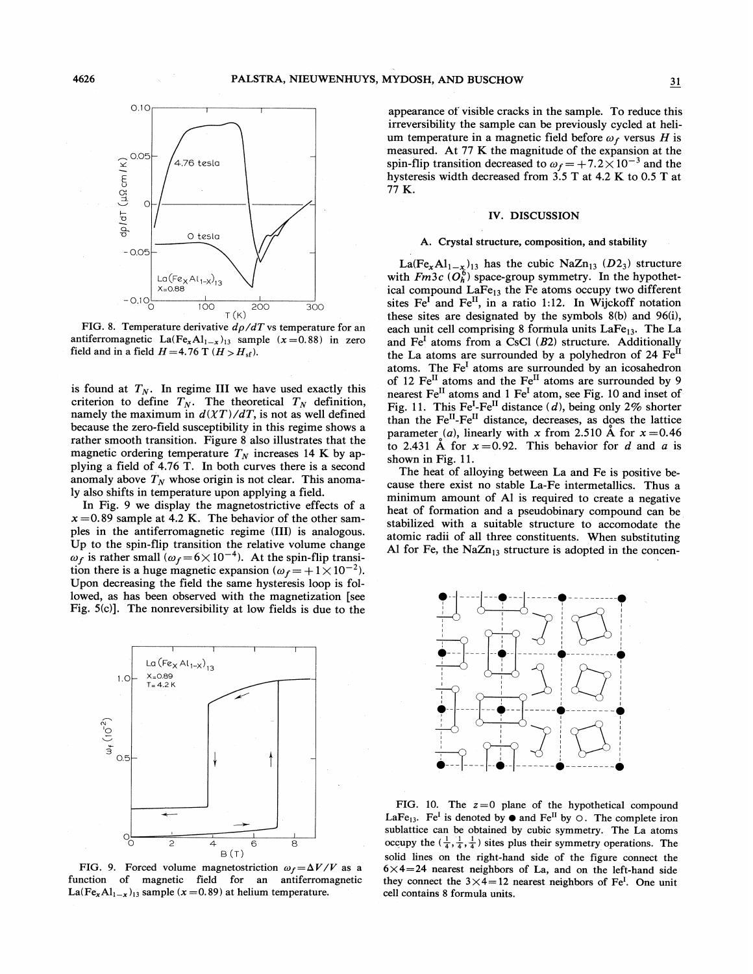

FIG. 8. Temperature derivative  $d\rho/dT$  vs temperature for an antiferromagnetic La(Fe<sub>x</sub>Al<sub>1-x</sub>)<sub>13</sub> sample (x=0.88) in zero field and in a field  $H = 4.76$  T ( $H > H<sub>sf</sub>$ ).

is found at  $T_N$ . In regime III we have used exactly this criterion to define  $T_N$ . The theoretical  $T_N$  definition, namely the maximum in  $d(\chi T)/dT$ , is not as well defined because the zero-field susceptibility in this regime shows a rather smooth transition. Figure 8 also illustrates that the magnetic ordering temperature  $T_N$  increases 14 K by applying a field of 4.76 T. In both curves there is a second anomaly above  $T_N$  whose origin is not clear. This anomaly also shifts in temperature upon applying a field.

In Fig. 9 we display the magnetostrictive effects of a  $x = 0.89$  sample at 4.2 K. The behavior of the other samples in the antiferromagnetic regime (III) is analogous. Up to the spin-flip transition the relative volume change  $\omega_f$  is rather small  $(\omega_f = 6 \times 10^{-4})$ . At the spin-flip transition there is a huge magnetic expansion  $(\omega_f = +1 \times 10^{-2})$ . Upon decreasing the field the same hysteresis loop is followed, as has been observed with the magnetization [see Fig. 5(c)]. The nonreversibility at low fields is due to the



FIG. 9. Forced volume magnetostriction  $\omega_f = \Delta V/V$  as a function of magnetic field for an antiferromagnetic La(Fe<sub>x</sub>Al<sub>1-x</sub>)<sub>13</sub> sample (x = 0.89) at helium temperature.

appearance of visible cracks in the sample. To reduce this irreversibility the sample can be previously cycled at helium temperature in a magnetic field before  $\omega_f$  versus H is measured. At 77 K the magnitude of the expansion at the spin-flip transition decreased to  $\omega_f = +7.2 \times 10^{-3}$  and the hysteresis width decreased from 3.5 T at 4.2 K to 0.5 T at 77 K.

### IV. DISCUSSION

### A. Crystal structure, composition, and stability

La(Fe<sub>x</sub>Al<sub>1- $x$ </sub>)<sub>13</sub> has the cubic NaZn<sub>13</sub> (D2<sub>3</sub>) structure with  $Fm3c$  ( $O_h^6$ ) space-group symmetry. In the hypothetical compound  $LaFe<sub>13</sub>$  the Fe atoms occupy two different sites  $Fe<sup>I</sup>$  and  $Fe<sup>II</sup>$ , in a ratio 1:12. In Wijckoff notation these sites are designated by the symbols 8(b) and 96(i), each unit cell comprising 8 formula units LaFe<sub>13</sub>. The La and Fe<sup>I</sup> atoms from a CsCl ( $B2$ ) structure. Additionally the La atoms are surrounded by a polyhedron of 24  $\text{Fe}^{\text{II}}$ atoms. The  $Fe<sup>I</sup>$  atoms are surrounded by an icosahedron of 12 Fe<sup>II</sup> atoms and the Fe<sup>II</sup> atoms are surrounded by 9 nearest Fe<sup>II</sup> atoms and 1 Fe<sup>I</sup> atom, see Fig. 10 and inset of Fig. 11. This Fe<sup>I</sup>-Fe<sup>II</sup> distance (d), being only 2% shorter than the Fe<sup>II</sup>-Fe<sup>II</sup> distance, decreases, as does the lattice parameter (a), linearly with x from 2.510 Å for  $x = 0.46$ to 2.431 Å for  $x=0.92$ . This behavior for d and a is shown in Fig. 11.

The heat of alloying between La and Fe is positive because there exist no stable La-Fe intermetallics. Thus a minimum amount of Al is required to create a negative heat of formation and a pseudobinary compound can be stabilized with a suitable structure to accomodate the atomic radii of all three constituents. When substituting Al for Fe, the  $NaZn_{13}$  structure is adopted in the concen-



FIG. 10. The  $z=0$  plane of the hypothetical compound LaFe<sub>13</sub>. Fe<sup>I</sup> is denoted by  $\bullet$  and Fe<sup>II</sup> by  $\circ$ . The complete iron sublattice can be obtained by cubic symmetry. The La atoms occupy the  $(\frac{1}{4}, \frac{1}{4}, \frac{1}{4})$  sites plus their symmetry operations. The solid lines on the right-hand side of the figure connect the  $6 \times 4 = 24$  nearest neighbors of La, and on the left-hand side they connect the  $3\times4=12$  nearest neighbors of Fe<sup>I</sup>. One unit cell contains 8 formula units.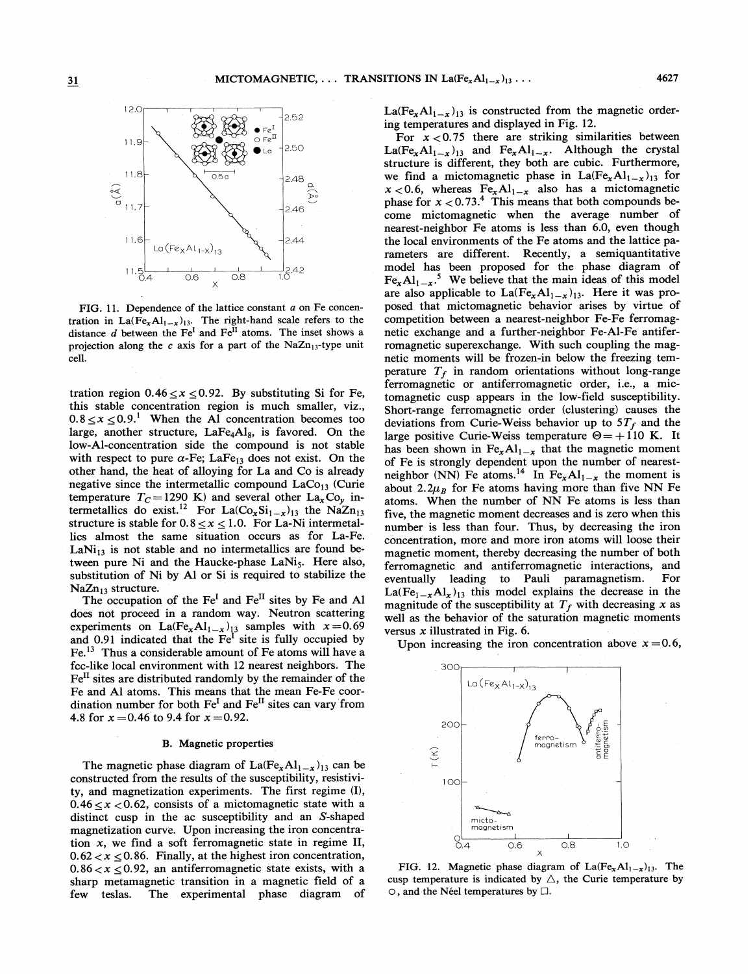

FIG. 11. Dependence of the lattice constant a on Fe concentration in La(Fe<sub>x</sub>A1<sub>1-x</sub>)<sub>13</sub>. The right-hand scale refers to the distance  $d$  between the Fe<sup>I</sup> and Fe<sup>II</sup> atoms. The inset shows a projection along the  $c$  axis for a part of the NaZn<sub>13</sub>-type unit cell.

tration region  $0.46 \le x \le 0.92$ . By substituting Si for Fe, this stable concentration region is much smaller, viz.,  $0.8 \le x \le 0.9$ <sup>1</sup> When the Al concentration becomes too large, another structure, LaFe4Als, is favored. On the low-Al-concentration side the compound is not stable with respect to pure  $\alpha$ -Fe; LaFe<sub>13</sub> does not exist. On the other hand, the heat of alloying for La and Co is already negative since the intermetallic compound  $LaCo<sub>13</sub>$  (Curie temperature T<sub>C</sub> = 1290 K) and several other La<sub>x</sub>Co<sub>y</sub> intermetallics do exist.<sup>12</sup> For La(Co<sub>x</sub>Si<sub>1-x</sub>)<sub>13</sub> the NaZn<sub>13</sub> structure is stable for  $0.8 \le x \le 1.0$ . For La-Ni intermetallics almost the same situation occurs as for La-Fe. LaNi<sub>13</sub> is not stable and no intermetallics are found between pure Ni and the Haucke-phase  $\text{LaNi}_5$ . Here also, substitution of Ni by Al or Si is required to stabilize the  $NaZn_{13}$  structure.

The occupation of the Fe<sup>I</sup> and Fe<sup>II</sup> sites by Fe and Al does not proceed in a random way. Neutron scattering experiments on  $La(Fe_xAl_{1-x})_{13}$  samples with  $x=0.69$ and 0.91 indicated that the  $Fe<sup>I</sup>$  site is fully occupied by  $Fe<sup>13</sup>$  Thus a considerable amount of Fe atoms will have a fcc-like local environment with 12 nearest neighbors. The  $Fe<sup>H</sup>$  sites are distributed randomly by the remainder of the Fe and Al atoms. This means that the mean Fe-Fe coordination number for both  $Fe<sup>I</sup>$  and  $Fe<sup>II</sup>$  sites can vary from 4.8 for  $x = 0.46$  to 9.4 for  $x = 0.92$ .

### B. Magnetic properties

The magnetic phase diagram of  $La(Fe_xAl_{1-x})_{13}$  can be constructed from the results of the susceptibility, resistivity, and magnetization experiments. The first regime (I),  $0.46 \le x < 0.62$ , consists of a mictomagnetic state with a distinct cusp in the ac susceptibility and an S-shaped magnetization curve. Upon increasing the iron concentration x, we find a soft ferromagnetic state in regime II,  $0.62 < x \le 0.86$ . Finally, at the highest iron concentration,  $0.86 < x < 0.92$ , an antiferromagnetic state exists, with a sharp metamagnetic transition in a magnetic field of a few teslas. The experimental phase diagram of  $La(Fe_xAl_{1-x})_{13}$  is constructed from the magnetic ordering temperatures and displayed in Fig. 12.

For  $x < 0.75$  there are striking similarities between  $La(Fe_xAl_{1-x})_{13}$  and  $Fe_xAl_{1-x}$ . Although the crystal structure is different, they both are cubic. Furthermore, we find a mictomagnetic phase in  $La(Fe_xAl_{1-x})_{13}$  for  $x < 0.6$ , whereas  $Fe_xAl_{1-x}$  also has a mictomagnetic phase for  $x < 0.73$ .<sup>4</sup> This means that both compounds become mictomagnetic when the average number of nearest-neighbor Fe atoms is less than 6.0, even though the local environments of the Fe atoms and the lattice parameters are different. Recently, a semiquantitative model has been proposed for the phase diagram of  $Fe_{x}Al_{1-x}$ .<sup>5</sup> We believe that the main ideas of this model are also applicable to  $La(Fe_xAl_{1-x})_{13}$ . Here it was proposed that mictomagnetic behavior arises by virtue of competition between a nearest-neighbor Fe-Fe ferromagnetic exchange and a further-neighbor Fe-Al-Fe antiferromagnetic superexchange. With such coupling the magnetic moments will be frozen-in below the freezing temperature  $T_f$  in random orientations without long-range ferromagnetic or antiferromagnetic order, i.e., a. mictomagnetic cusp appears in the low-field susceptibility. Short-range ferromagnetic order (clustering) causes the deviations from Curie-Weiss behavior up to  $5T_f$  and the large positive Curie-Weiss temperature  $\Theta = +110$  K. It has been shown in  $Fe_xAl_{1-x}$  that the magnetic moment of Fe is strongly dependent upon the number of nearestneighbor (NN) Fe atoms.<sup>14</sup> In Fe<sub>x</sub>Al<sub>1-x</sub> the moment is about 2.2 $\mu_B$  for Fe atoms having more than five NN Fe atoms. When the number of NN Fe atoms is less than five, the magnetic moment decreases and is zero when this number is less than four. Thus, by decreasing the iron concentration, more and more iron atoms will loose their magnetic moment, thereby decreasing the number of both ferromagnetic and antiferromagnetic interactions, and eventually leading to Pauli paramagnetism. For  $La(Fe_{1-x}Al_x)_{13}$  this model explains the decrease in the magnitude of the susceptibility at  $T_f$  with decreasing x as well as the behavior of the saturation magnetic moments versus  $x$  illustrated in Fig. 6.

Upon increasing the iron concentration above  $x = 0.6$ ,



FIG. 12. Magnetic phase diagram of  $La(Fe_xAl_{1-x})_{13}$ . The cusp temperature is indicated by  $\triangle$ , the Curie temperature by  $\circ$ , and the Néel temperatures by  $\Box$ .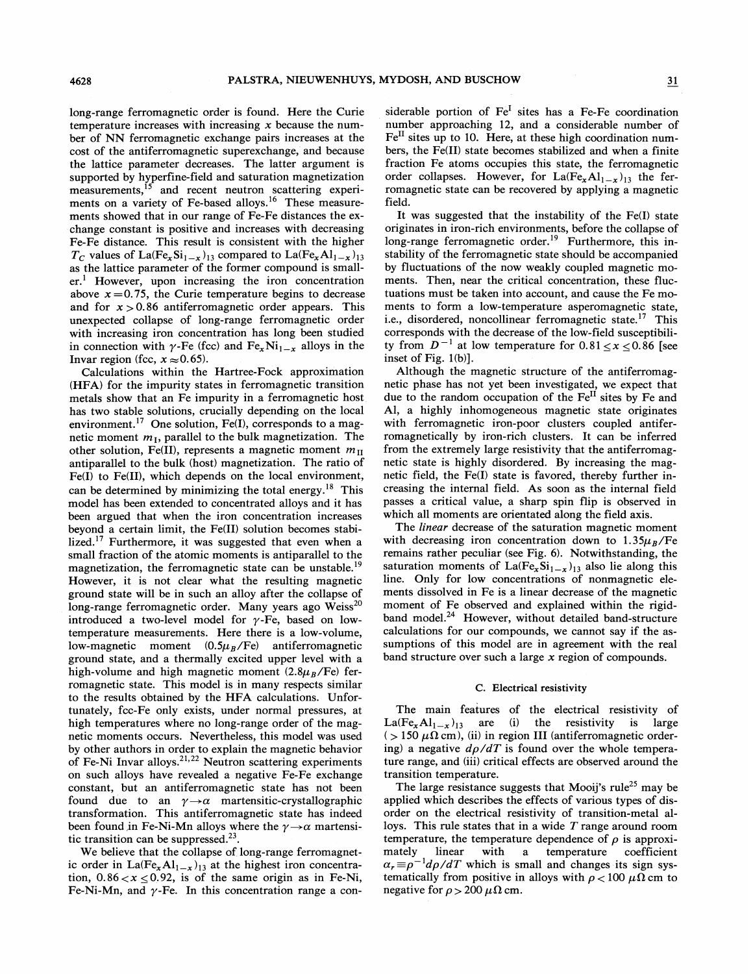long-range ferromagnetic order is found. Here the Curie temperature increases with increasing  $x$  because the number of NN ferromagnetic exchange pairs increases at the cost of the antiferromagnetic superexchange, and because the lattice parameter decreases. The latter argument is supported by hyperfine-field and saturation magnetization measurements,<sup>15</sup> and recent neutron scattering experiments on a variety of Fe-based alloys.<sup>16</sup> These measurements showed that in our range of Fe-Fe distances the exchange constant is positive and increases with decreasing Fe-Fe distance. This result is consistent with the higher  $T_C$  values of La(Fe<sub>x</sub>Si<sub>1-x</sub>)<sub>13</sub> compared to La(Fe<sub>x</sub>Al<sub>1-x</sub>)<sub>13</sub> as the lattice parameter of the former compound is small $er<sup>1</sup>$  However, upon increasing the iron concentration above  $x = 0.75$ , the Curie temperature begins to decrease and for  $x > 0.86$  antiferromagnetic order appears. This unexpected collapse of long-range ferromagnetic order with increasing iron concentration has long been studied in connection with  $\gamma$ -Fe (fcc) and Fe<sub>x</sub>Ni<sub>1-x</sub> alloys in the Invar region (fcc,  $x \approx 0.65$ ).

Calculations within the Hartree-Fock approximation (HFA) for the impurity states in ferromagnetic transition metals show that an Fe impurity in a ferromagnetic host has two stable solutions, crucially depending on the local environment.<sup>17</sup> One solution, Fe(I), corresponds to a magnetic moment  $m<sub>1</sub>$ , parallel to the bulk magnetization. The other solution, Fe(II), represents a magnetic moment  $m_{\text{II}}$ antiparallel to the bulk (host) magnetization. The ratio of  $Fe(I)$  to  $Fe(II)$ , which depends on the local environment, can be determined by minimizing the total energy.<sup>18</sup> This model has been extended to concentrated alloys and it has been argued that when the iron concentration increases beyond a certain limit, the Fe(II) solution becomes stabilized.<sup>17</sup> Furthermore, it was suggested that even when a small fraction of the atomic moments is antiparallel to the magnetization, the ferromagnetic state can be unstable.<sup>19</sup> However, it is not clear what the resulting magnetic ground state will be in such an alloy after the collapse of long-range ferromagnetic order. Many years ago Weiss<sup>20</sup> introduced a two-level model for  $\gamma$ -Fe, based on lowtemperature measurements. Here there is a low-volume, low-magnetic moment  $(0.5\mu_B/Fe)$  antiferromagnetic ground state, and a thermally excited upper level with a high-volume and high magnetic moment  $(2.8\mu_B/Fe)$  ferromagnetic state. This model is in many respects similar to the results obtained by the HFA calculations. Unfortunately, fcc-Fe only exists, under normal pressures, at high temperatures where no long-range order of the magnetic moments occurs. Nevertheless, this model was used by other authors in order to explain the magnetic behavior of Fe-Ni Invar alloys.<sup>21,22</sup> Neutron scattering experiment on such alloys have revealed a negative Fe-Fe exchange constant, but an antiferromagnetic state has not been found due to an  $\gamma \rightarrow \alpha$  martensitic-crystallographic transformation. This antiferromagnetic state has indeed been found in Fe-Ni-Mn alloys where the  $\gamma \rightarrow \alpha$  martensitic transition can be suppressed. $23$ .

We believe that the collapse of long-range ferromagnetic order in La(Fe<sub>x</sub>Al<sub>1-x</sub>)<sub>13</sub> at the highest iron concentration,  $0.86 < x \le 0.92$ , is of the same origin as in Fe-Ni, Fe-Ni-Mn, and  $\gamma$ -Fe. In this concentration range a considerable portion of  $Fe<sup>I</sup>$  sites has a Fe-Fe coordination number approaching 12, and a considerable number of  $Fe<sup>II</sup>$  sites up to 10. Here, at these high coordination numbers, the Fe(II) state becomes stabilized and when a finite fraction Fe atoms occupies this state, the ferromagnetic order collapses. However, for  $La(Fe_xAl_{1-x})_{13}$  the ferromagnetic state can be recovered by applying a magnetic field.

It was suggested that the instability of the Fe(I) state originates in iron-rich environments, before the collapse of ong-range ferromagnetic order.<sup>19</sup> Furthermore, this instability of the ferromagnetic state should be accompanied by fluctuations of the now weakly coupled magnetic moments. Then, near the critical concentration, these fluctuations must be taken into account, and cause the Fe moments to form a low-temperature asperomagnetic state, i.e., disordered, noncollinear ferromagnetic state.<sup>17</sup> This corresponds with the decrease of the low-field susceptibiliy from  $D^{-1}$  at low temperature for  $0.81 \le x \le 0.86$  [see inset of Fig. 1(b)].

Although the magnetic structure of the antiferromaghetic phase has not yet been investigated, we expect that due to the random occupation of the Fe<sup>II</sup> sites by Fe and Al, a highly inhomogeneous magnetic state originates with ferromagnetic iron-poor clusters coupled antiferromagnetically by iron-rich clusters. It can be inferred from the extremely large resistivity that the antiferromagnetic state is highly disordered. By increasing the magnetic field, the Fe(I) state is favored, thereby further increasing the internal field. As soon as the internal field passes a critical value, a sharp spin flip is observed in which all moments are orientated along the field axis.

The *linear* decrease of the saturation magnetic moment with decreasing iron concentration down to  $1.35\mu_B/Fe$ remains rather peculiar (see Fig. 6). Notwithstanding, the saturation moments of La(Fe<sub>x</sub>Si<sub>1-x</sub>)<sub>13</sub> also lie along this line. Only for low concentrations of nonmagnetic elements dissolved in Fe is a linear decrease of the magnetic moment of Fe observed and explained within the rigidband model.<sup>24</sup> However, without detailed band-structure calculations for our compounds, we cannot say if the assumptions of this model are in agreement with the real band structure over such a large  $x$  region of compounds.

### C. Electrical resistivity

The main features of the electrical resistivity of  $La(Fe_xAl_{1-x})_{13}$  are (i) the resistivity is large ( $> 150 \mu\Omega$  cm), (ii) in region III (antiferromagnetic ordering) a negative  $d\rho/dT$  is found over the whole temperature range, and (iii) critical effects are observed around the transition temperature.

The large resistance suggests that Mooij's rule<sup>25</sup> may be applied which describes the effects of various types of disorder on the electrical resistivity of transition-metal alloys. This rule states that in a wide  $T$  range around room temperature, the temperature dependence of  $\rho$  is approximately linear with a temperature coefficient  $x_r \equiv \rho^{-1} d\rho/dT$  which is small and changes its sign systematically from positive in alloys with  $\rho < 100 \mu\Omega$  cm to negative for  $\rho > 200 \mu \Omega$  cm.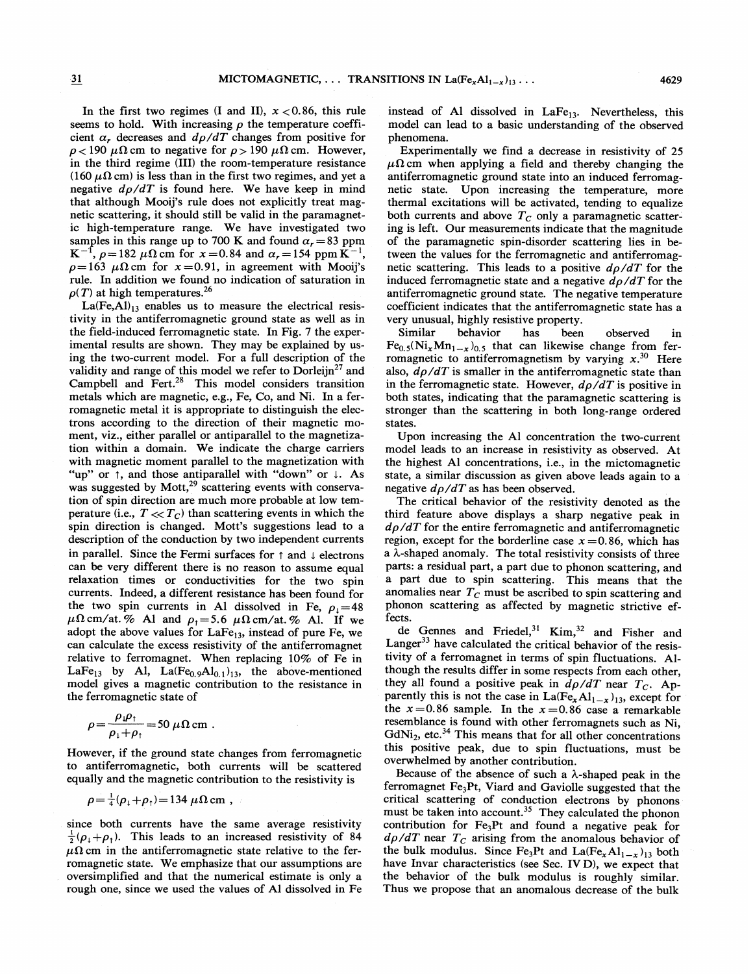In the first two regimes (I and II),  $x < 0.86$ , this rule seems to hold. With increasing  $\rho$  the temperature coefficient  $\alpha$ , decreases and  $d\rho/dT$  changes from positive for  $\rho$  < 190  $\mu\Omega$  cm to negative for  $\rho$  > 190  $\mu\Omega$  cm. However, in the third regime (III) the room-temperature resistance (160  $\mu\Omega$  cm) is less than in the first two regimes, and yet a negative  $d\rho/dT$  is found here. We have keep in mind that although Mooij's rule does not explicitly treat magnetic scattering, it should still be valid in the paramagnetic high-temperature range. We have investigated two samples in this range up to 700 K and found  $\alpha_r = 83$  ppm  $K^{-1}$ ,  $\rho = 182 \mu \Omega$  cm for  $x = 0.84$  and  $\alpha_r = 154 \text{ ppm K}^{-1}$ ,  $\rho=163 \mu\Omega$  cm for  $x=0.91$ , in agreement with Mooij's rule. In addition we found no indication of saturation in  $\rho(T)$  at high temperatures.<sup>26</sup>

 $La(Fe, Al)_{13}$  enables us to measure the electrical resistivity in the antiferromagnetic ground state as well as in the field-induced ferromagnetic state. In Fig. 7 the experimental results are shown. They may be explained by using the two-current model. For a full description of the validity and range of this model we refer to Dorleijn<sup>27</sup> and Campbell and Fert. $28$  This model considers transition metals which are magnetic, e.g., Fe, Co, and Ni. In a ferromagnetic metal it is appropriate to distinguish the electrons according to the direction of their magnetic moment, viz., either parallel or antiparallel to the magnetization within a domain. We indicate the charge carriers with magnetic moment parallel to the magnetization with "up" or  $\uparrow$ , and those antiparallel with "down" or  $\downarrow$ . As was suggested by  $Mott<sup>29</sup>$  scattering events with conservation of spin direction are much more probable at low temperature (i.e.,  $T \ll T_C$ ) than scattering events in which the spin direction is changed. Mott's suggestions lead to a description of the conduction by two independent currents in parallel. Since the Fermi surfaces for  $\uparrow$  and  $\downarrow$  electrons can be very different there is no reason to assume equal relaxation times or conductivities for the two spin currents. Indeed, a different resistance has been found for the two spin currents in Al dissolved in Fe,  $\rho_1 = 48$  $\mu\Omega$  cm/at. % Al and  $\rho_1 = 5.6 \mu\Omega$  cm/at. % Al. If we adopt the above values for LaFe<sub>13</sub>, instead of pure Fe, we can calculate the excess resistivity of the antiferromagnet relative to ferromagnet. When replacing 10% of Fe in LaFe<sub>13</sub> by Al, La(Fe<sub>0.9</sub>Al<sub>0.1</sub>)<sub>13</sub>, the above-mentioned model gives a magnetic contribution to the resistance in the ferromagnetic state of

$$
\rho = \frac{\rho_{\rm} \rho_{\rm} }{\rho_{\rm} + \rho_{\rm} } = 50 \ \mu \Omega \, \rm{cm} \ .
$$

However, if the ground state changes from ferromagnetic to antiferromagnetic, both currents will be scattered equally and the magnetic contribution to the resistivity is

$$
\rho = \frac{1}{4}(\rho_{\downarrow} + \rho_{\uparrow}) = 134 \ \mu \Omega \, \text{cm} \ ,
$$

since both currents have the same average resistivity  $\frac{1}{2}(\rho_1+\rho_1)$ . This leads to an increased resistivity of 84  $\mu\Omega$  cm in the antiferromagnetic state relative to the ferromagnetic state. We emphasize that our assumptions are oversimplified and that the numerical estimate is only a rough one, since we used the values of Al dissolved in Fe

instead of Al dissolved in  $LaFe<sub>13</sub>$ . Nevertheless, this model can lead to a basic understanding of the observed phenomena.

Experimentally we find a decrease in resistivity of 25  $\mu\Omega$  cm when applying a field and thereby changing the antiferromagnetic ground state into an induced ferromagnetic state. Upon increasing the temperature, more thermal excitations will be activated, tending to equalize both currents and above  $T_c$  only a paramagnetic scattering is left. Our measurements indicate that the magnitude of the paramagnetic spin-disorder scattering lies in between the values for the ferromagnetic and antiferromagnetic scattering. This leads to a positive  $d\rho/dT$  for the induced ferromagnetic state and a negative  $d\rho/dT$  for the antiferromagnetic ground state. The negative temperature coefficient indicates that the antiferromagnetic state has a very unusual, highly resistive property.<br>Similar behavior has been

been observed in  $Fe_{0.5}(Ni_xMn_{1-x})_{0.5}$  that can likewise change from ferromagnetic to antiferromagnetism by varying  $x^{30}$  Here also,  $d\rho/dT$  is smaller in the antiferromagnetic state than in the ferromagnetic state. However,  $d\rho/dT$  is positive in both states, indicating that the paramagnetic scattering is stronger than the scattering in both long-range ordered states.

Upon increasing the Al concentration the two-current model leads to an increase in resistivity as observed. At the highest Al concentrations, i.e., in the mictomagnetic state, a similar discussion as given above leads again to a negative  $d\rho/dT$  as has been observed.

The critical behavior of the resistivity denoted as the third feature above displays a sharp negative peak in  $d\rho/dT$  for the entire ferromagnetic and antiferromagnetic region, except for the borderline case  $x = 0.86$ , which has a  $\lambda$ -shaped anomaly. The total resistivity consists of three parts: a residual part, a part due to phonon scattering, and a part due to spin scattering. This means that the anomalies near  $T_c$  must be ascribed to spin scattering and phonon scattering as affected by magnetic strictive effects.

de Gennes and Friedel,<sup>31</sup> Kim,<sup>32</sup> and Fisher and Langer<sup>33</sup> have calculated the critical behavior of the resistivity of a ferromagnet in terms of spin fiuctuations. Although the results differ in some respects from each other, they all found a positive peak in  $d\rho/dT$  near  $T_c$ . Apparently this is not the case in  $La(Fe_xAl_{1-x})_{13}$ , except for the  $x=0.86$  sample. In the  $x=0.86$  case a remarkable resemblance is found with other ferromagnets such as Ni,  $GdNi<sub>2</sub>$ , etc.<sup>34</sup> This means that for all other concentrations this positive peak, due to spin fluctuations, must be overwhelmed by another contribution.

Because of the absence of such a  $\lambda$ -shaped peak in the ferromagnet Fe<sub>3</sub>Pt, Viard and Gaviolle suggested that the critical scattering of conduction electrons by phonons must be taken into account.<sup>35</sup> They calculated the phonon contribution for Fe<sub>3</sub>Pt and found a negative peak for  $d\rho/dT$  near  $T_c$  arising from the anomalous behavior of the bulk modulus. Since Fe<sub>3</sub>Pt and La(Fe<sub>x</sub>Al<sub>1-x</sub>)<sub>13</sub> both have Invar characteristics (see Sec. IVD), we expect that the behavior of the bulk modulus is roughly similar. Thus we propose that an anomalous decrease of the bulk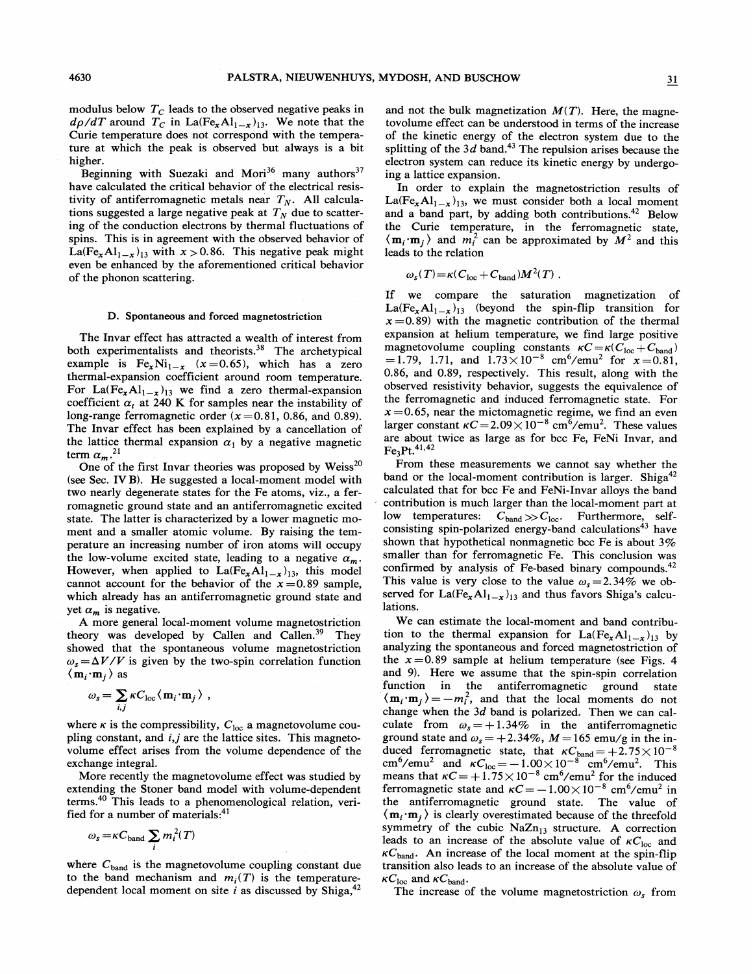modulus below  $T_c$  leads to the observed negative peaks in  $d\rho/dT$  around  $T_C$  in La(Fe<sub>x</sub>Al<sub>1-x</sub>)<sub>13</sub>. We note that the Curie temperature does not correspond with the temperature at which the peak is observed but always is a bit higher.

Beginning with Suezaki and Mori<sup>36</sup> many authors<sup>37</sup> have calculated the critical behavior of the electrical resistivity of antiferromagnetic metals near  $T_N$ . All calculations suggested a large negative peak at  $T<sub>N</sub>$  due to scattering of the conduction electrons by thermal fluctuations of spins. This is in agreement with the observed behavior of La(Fe<sub>x</sub>A1<sub>1-x</sub>)<sub>13</sub> with  $x > 0.86$ . This negative peak might even be enhanced by the aforementioned critical behavior of the phonon scattering.

### D. Spontaneous and forced magnetostriction

The Invar effect has attracted a wealth of interest from both experimentalists and theorists.<sup>38</sup> The archetypical example is  $Fe_xNi_{1-x}$   $(x=0.65)$ , which has a zero thermal-expansion coefficient around room temperature. For La(Fe<sub>x</sub>Al<sub>1-x</sub>)<sub>13</sub> we find a zero thermal-expansion coefficient  $\alpha_t$  at 240 K for samples near the instability of long-range ferromagnetic order  $(x=0.81, 0.86,$  and 0.89). The Invar effect has been explained by a cancellation of the lattice thermal expansion  $\alpha_1$  by a negative magnetic term  $\alpha_m$ <sup>21</sup>

One of the first Invar theories was proposed by Weiss<sup>20</sup> (see Sec. IVB). He suggested a local-moment model with two nearly degenerate states for the Fe atoms, viz. , a ferromagnetic ground state and an antiferromagnetic excited state. The latter is characterized by a lower magnetic moment and a smaller atomic volume. By raising the temperature an increasing number of iron atoms will occupy the low-volume excited state, leading to a negative  $\alpha_m$ . However, when applied to  $La(Fe_xAl_{1-x})_{13}$ , this model cannot account for the behavior of the  $x=0.89$  sample, which already has an antiferromagnetic ground state and yet  $\alpha_m$  is negative.

A more general local-moment volume magnetostriction theory was developed by Callen and Callen.<sup>39</sup> They showed that the spontaneous volume magnetostriction  $\omega_s = \Delta V/V$  is given by the two-spin correlation function  $\langle \mathbf{m}_i \cdot \mathbf{m}_j \rangle$  as

$$
\omega_s = \sum_{i,j} \kappa C_{\text{loc}} \langle \mathbf{m}_i \cdot \mathbf{m}_j \rangle ,
$$

where  $\kappa$  is the compressibility,  $C_{loc}$  a magnetovolume coupling constant, and i,j are the lattice sites. This magnetovolume effect arises from the volume dependence of the exchange integral.

More recently the magnetovolume effect was studied by extending the Stoner band model with volume-dependent terms.<sup>40</sup> This leads to a phenomenological relation, verified for a number of materials: $41$ 

$$
\omega_s = \kappa C_{\text{band}} \sum_i m_i^2(T)
$$

where  $C_{band}$  is the magnetovolume coupling constant due to the band mechanism and  $m_i(T)$  is the temperaturedependent local moment on site  $i$  as discussed by Shiga,  $42$  and not the bulk magnetization  $M(T)$ . Here, the magnetovolume effect can be understood in terms of the increase of the kinetic energy of the electron system due to the splitting of the  $3d$  band.<sup>43</sup> The repulsion arises because the electron system can reduce its kinetic energy by undergoing a lattice expansion.

In order to explain the magnetostriction results of  $La(Fe<sub>x</sub>Al<sub>1-x</sub>)<sub>13</sub>$ , we must consider both a local moment and a band part, by adding both contributions.<sup>42</sup> Below the Curie temperature, in the ferromagnetic state,  $\langle \mathbf{m}_i \cdot \mathbf{m}_j \rangle$  and  $m_i^2$  can be approximated by  $M^2$  and this leads to the relation

$$
\omega_s(T) = \kappa (C_{\text{loc}} + C_{\text{band}}) M^2(T) .
$$

If we compare the saturation magnetization of  $La(Fe_xAl_{1-x})_{13}$  (beyond the spin-flip transition for  $x = 0.89$ ) with the magnetic contribution of the thermal expansion at helium temperature, we find large positive magnetovolume coupling constants  $\kappa C = \kappa (C_{\text{loc}} + C_{\text{band}})$ =1.79, 1.71, and  $1.73 \times 10^{-8}$  cm<sup>6</sup>/emu<sup>2</sup> for  $x=0.81$ , 0.86, and 0.89, respectively. This result, along with the observed resistivity behavior, suggests the equivalence of the ferromagnetic and induced ferromagnetic state. For  $x = 0.65$ , near the mictomagnetic regime, we find an even larger constant  $\kappa C = 2.09 \times 10^{-8}$  cm<sup>6</sup>/emu<sup>2</sup>. These values are about twice as large as for bcc Fe, FeNi Invar, and  $Fe<sub>3</sub>Pt.<sup>41,42</sup>$ 

From these measurements we cannot say whether the band or the local-moment contribution is larger. Shiga<sup>42</sup> calculated that for bcc Fe and FeNi-Invar alloys the band contribution is much larger than the local-moment part at low temperatures:  $C_{band} \gg C_{loc}$ . Furthermore, selfconsisting spin-polarized energy-band calculations<sup>43</sup> have shown that hypothetical nonmagnetic bcc Fe is about  $3\%$ smaller than for ferromagnetic Fe. This conclusion was confirmed by analysis of Fe-based binary compounds.<sup>42</sup> This value is very close to the value  $\omega_s = 2.34\%$  we observed for  $La(Fe_xAl_{1-x})_{13}$  and thus favors Shiga's calculations.

We can estimate the local-moment and band contribution to the thermal expansion for  $La(Fe_xAl_{1-x})_{13}$  by analyzing the spontaneous and forced magnetostriction of the  $x=0.89$  sample at helium temperature (see Figs. 4) and 9). Here we assume that the spin-spin correlation function in the antiferromagnetic ground state  $\langle \mathbf{m}_i \cdot \mathbf{m}_j \rangle = -m_i^2$ , and that the local moments do not change when the 3d band is polarized. Then we can calculate from  $\omega_s = +1.34\%$  in the antiferromagnetic ground state and  $\omega_s = +2.34\%, M = 165$  emu/g in the in $d\Omega$  ferromagnetic state, that  $\kappa C_{\text{band}} = +2.75 \times 10^{-10}$ calculated refromagnetic state, that  $\kappa C_{\text{band}} = +2.73 \times 10^{-8}$ <br>cm<sup>6</sup>/emu<sup>2</sup> and  $\kappa C_{\text{loc}} = -1.00 \times 10^{-8}$  cm<sup>6</sup>/emu<sup>2</sup>. This means that  $\kappa C = +1.75 \times 10^{-8}$  cm<sup>6</sup>/emu<sup>2</sup> for the induced ferromagnetic state and  $\kappa C = -1.00 \times 10^{-8}$  cm<sup>6</sup>/emu<sup>2</sup> in the antiferrornagnetic ground state. The value of  $\langle m_i \cdot m_j \rangle$  is clearly overestimated because of the threefold symmetry of the cubic  $NaZn_{13}$  structure. A correction leads to an increase of the absolute value of  $\kappa C_{\text{loc}}$  and  $\kappa C_{\text{band}}$ . An increase of the local moment at the spin-flip transition also leads to an increase of the absolute value of  $\kappa C_{\text{loc}}$  and  $\kappa C_{\text{band}}$ .

The increase of the volume magnetostriction  $\omega_s$  from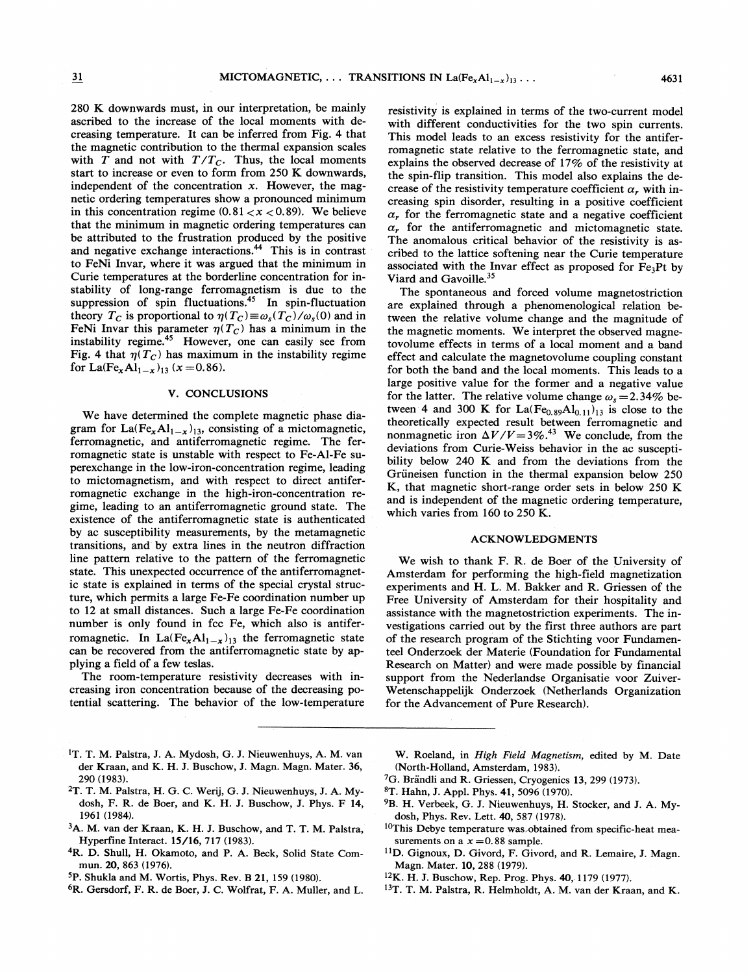280 K downwards must, in our interpretation, be mainly ascribed to the increase of the local moments with decreasing temperature. It can be inferred from Fig. 4 that the magnetic contribution to the thermal expansion scales with  $T$  and not with  $T/T_c$ . Thus, the local moments start to increase or even to form from 250 K downwards, independent of the concentration  $x$ . However, the magnetic ordering temperatures show a pronounced minimum in this concentration regime  $(0.81 < x < 0.89)$ . We believe that the minimum in magnetic ordering temperatures can be attributed to the frustration produced by the positive and negative exchange interactions.<sup>44</sup> This is in contrast to FeNi Invar, where it was argued that the minimum in Curie temperatures at the borderline concentration for instability of long-range ferromagnetism is due to the suppression of spin fluctuations.<sup>45</sup> In spin-fluctuation theory  $T_C$  is proportional to  $\eta(T_C) \equiv \omega_s(T_C)/\omega_s(0)$  and in FeNi Invar this parameter  $\eta(T_C)$  has a minimum in the instability regime.<sup>45</sup> However, one can easily see from Fig. 4 that  $\eta(T_C)$  has maximum in the instability regime for La(Fe<sub>x</sub>Al<sub>1-x</sub>)<sub>13</sub> (x = 0.86).

### V. CONCLUSIONS

We have determined the complete magnetic phase diagram for La(Fe<sub>x</sub>Al<sub>1-x</sub>)<sub>13</sub>, consisting of a mictomagnetic, ferromagnetic, and antiferromagnetic regime. The ferromagnetic state is unstable with respect to Fe-Al-Fe superexchange in the low-iron-concentration regime, leading to mictomagnetism, and with respect to direct antiferromagnetic exchange in the high-iron-concentration regime, leading to an antiferromagnetic ground state. The existence of the antiferromagnetic state is authenticated by ac susceptibility measurements, by the metamagnetic transitions, and by extra lines in the neutron diffraction line pattern relative to the pattern of the ferromagnetic state. This unexpected occurrence of the antiferromagnetic state is explained in terms of the special crystal structure, which permits a large Fe-Fe coordination number up to 12 at small distances. Such a large Fe-Fe coordination number is only found in fcc Fe, which also is antiferromagnetic. In La(Fe<sub>x</sub>Al<sub>1-x</sub>)<sub>13</sub> the ferromagnetic state can be recovered from the antiferromagnetic state by applying a field of a few teslas.

The room-temperature resistivity decreases with increasing iron concentration because of the decreasing potential scattering. The behavior of the low-temperature

with different conductivities for the two spin currents. This model leads to an excess resistivity for the antiferromagnetic state relative to the ferromagnetic state, and explains the observed decrease of 17% of the resistivity at the spin-flip transition. This model also explains the decrease of the resistivity temperature coefficient  $\alpha$ , with increasing spin disorder, resulting in a positive coefficient  $\alpha$ , for the ferromagnetic state and a negative coefficient  $\alpha$ , for the antiferromagnetic and mictomagnetic state. The anomalous critical behavior of the resistivity is ascribed to the lattice softening near the Curie temperature associated with the Invar effect as proposed for  $Fe<sub>3</sub>Pt$  by

resistivity is explained in terms of the two-current model

Viard and Gavoille.<sup>35</sup> The spontaneous and forced volume magnetostriction are explained through a phenomenological relation between the relative volume change and the magnitude of the magnetic moments. We interpret the observed magnetovolume effects in terms of a local moment and a band effect and calculate the magnetovolume coupling constant for both the band and the local moments. This leads to a large positive value for the former and a negative value for the latter. The relative volume change  $\omega$ , = 2.34% between 4 and 300 K for  $La(Fe_{0.89}Al_{0.11})_{13}$  is close to the theoretically expected result between ferromagnetic and nonmagnetic iron  $\Delta V/V=3\%$ .<sup>43</sup> We conclude, from the deviations from Curie-Weiss behavior in the ac susceptibility below 240 K and from the deviations from the Grüneisen function in the thermal expansion below 250 K, that magnetic short-range order sets in below 250 K and is independent of the magnetic ordering temperature, which varies from 160 to 250 K.

#### ACKNOWLEDGMENTS

We wish to thank F. R. de Boer of the University of Amsterdam for performing the high-field magnetization experiments and H. L. M. Bakker and R. Crriessen of the Free University of Amsterdam for their hospitality and assistance with the magnetostriction experiments. The investigations carried out by the first three authors are part of the research program of the Stichting voor Fundamenteel Onderzoek der Materie (Foundation for Fundamental Research on Matter) and were made possible by financial support from the Nederlandse Organisatie voor Zuiver-Wetenschappelijk Onderzoek (Netherlands Organization for the Advancement of Pure Research).

- <sup>1</sup>T. T. M. Palstra, J. A. Mydosh, G. J. Nieuwenhuys, A. M. van der Kraan, and K. H. J. Buschow, J. Magn. Magn. Mater. 36, 290 (1983).
- <sup>2</sup>T. T. M. Palstra, H. G. C. Werij, G. J. Nieuwenhuys, J. A. Mydosh, F. R. de Boer, and K. H. J. Buschow, J. Phys. F 14, 1961 (1984).
- 3A. M. van der Kraan, K. H. J. Buschow, and T. T. M. Palstra, Hyperfine Interact. 15/16, 717 (1983).
- 4R. D. Shull, H. Okamoto, and P. A. Beck, Solid State Commun. 20, 863 (1976).
- P. Shukla and M. Wortis, Phys. Rev. B 21, 159 (1980).
- 6R. Gersdorf, F.R. de Boer, J. C. Wolfrat, F. A. Muller, and L.

W. Roeland, in High Field Magnetism, edited by M. Date (North-Holland, Amsterdam, 1983).

- <sup>7</sup>G. Brändli and R. Griessen, Cryogenics 13, 299 (1973).
- T. Hahn, J. Appl. Phys. 41, 5096 (1970).
- <sup>9</sup>B. H. Verbeek, G. J. Nieuwenhuys, H. Stocker, and J. A. Mydosh, Phys. Rev. Lett. 40, 587 (1978).
- <sup>10</sup>This Debye temperature was obtained from specific-heat measurements on a  $x = 0.88$  sample.
- <sup>11</sup>D. Gignoux, D. Givord, F. Givord, and R. Lemaire, J. Magn. Magn. Mater. 10, 288 (1979).
- <sup>12</sup>K. H. J. Buschow, Rep. Prog. Phys. 40, 1179 (1977).
- <sup>13</sup>T. T. M. Palstra, R. Helmholdt, A. M. van der Kraan, and K.